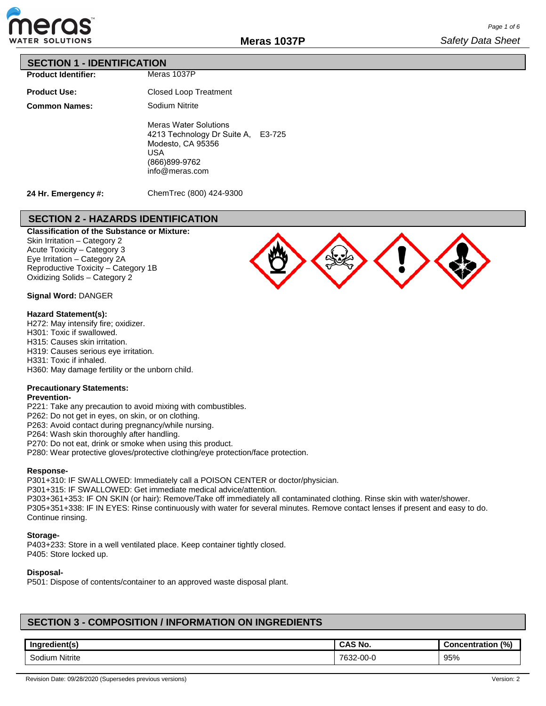

## **SECTION 1 - IDENTIFICATION**

| <b>Product Identifier:</b> |
|----------------------------|

| <b>Product Use:</b>  |  |
|----------------------|--|
| <b>Common Names:</b> |  |

Closed Loop Treatment Sodium Nitrite Meras Water Solutions

Meras 1037P

4213 Technology Dr Suite A, E3-725 Modesto, CA 95356 USA (866)899-9762 info@meras.com

**24 Hr. Emergency #:**

ChemTrec (800) 424-9300

# **SECTION 2 - HAZARDS IDENTIFICATION**

**Classification of the Substance or Mixture:** Skin Irritation – Category 2 Acute Toxicity – Category 3 Eye Irritation – Category 2A Reproductive Toxicity – Category 1B Oxidizing Solids – Category 2



### **Signal Word:** DANGER

#### **Hazard Statement(s):**

H272: May intensify fire; oxidizer. H301: Toxic if swallowed. H315: Causes skin irritation. H319: Causes serious eye irritation. H331: Toxic if inhaled. H360: May damage fertility or the unborn child.

### **Precautionary Statements:**

### **Prevention-**

P221: Take any precaution to avoid mixing with combustibles.

P262: Do not get in eyes, on skin, or on clothing.

P263: Avoid contact during pregnancy/while nursing.

P264: Wash skin thoroughly after handling.

P270: Do not eat, drink or smoke when using this product.

P280: Wear protective gloves/protective clothing/eye protection/face protection.

#### **Response-**

P301+310: IF SWALLOWED: Immediately call a POISON CENTER or doctor/physician.

P301+315: IF SWALLOWED: Get immediate medical advice/attention.

P303+361+353: IF ON SKIN (or hair): Remove/Take off immediately all contaminated clothing. Rinse skin with water/shower. P305+351+338: IF IN EYES: Rinse continuously with water for several minutes. Remove contact lenses if present and easy to do. Continue rinsing.

#### **Storage-**

P403+233: Store in a well ventilated place. Keep container tightly closed. P405: Store locked up.

### **Disposal-**

P501: Dispose of contents/container to an approved waste disposal plant.

## **SECTION 3 - COMPOSITION / INFORMATION ON INGREDIENTS**

| .                                                  | `S No.                          | (%)                 |
|----------------------------------------------------|---------------------------------|---------------------|
| Ingredient(s                                       | CAS                             | <b>oncentration</b> |
| Nitrite<br>$\overline{\phantom{0}}$<br>.<br>Sodium | $\sim$<br>7000<br>UU-L<br>. ാ∠∹ | 95%                 |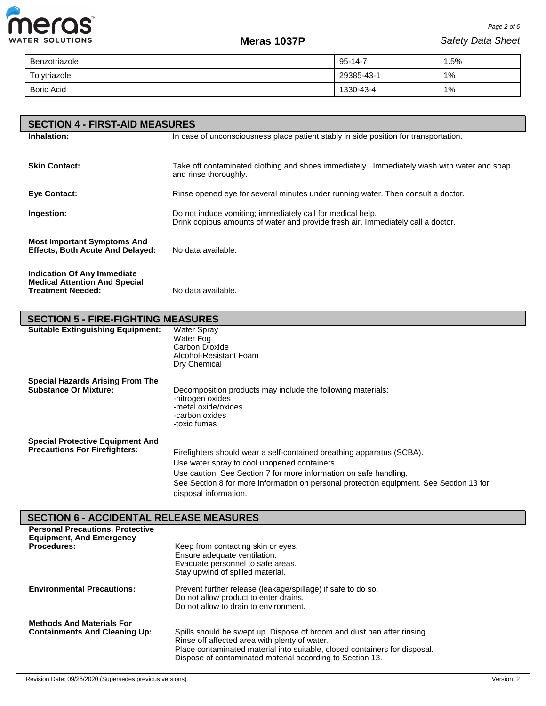

L

| Benzotriazole     | $95 - 14 - 7$ | 5%، |
|-------------------|---------------|-----|
| Tolytriazole      | 29385-43-1    | 1%  |
| <b>Boric Acid</b> | 1330-43-4     | 1%  |

| <b>SECTION 4 - FIRST-AID MEASURES</b>                                                           |                                                                                                                                                |  |  |
|-------------------------------------------------------------------------------------------------|------------------------------------------------------------------------------------------------------------------------------------------------|--|--|
| Inhalation:                                                                                     | In case of unconsciousness place patient stably in side position for transportation.                                                           |  |  |
|                                                                                                 |                                                                                                                                                |  |  |
| <b>Skin Contact:</b>                                                                            | Take off contaminated clothing and shoes immediately. Immediately wash with water and soap<br>and rinse thoroughly.                            |  |  |
| Eye Contact:                                                                                    | Rinse opened eye for several minutes under running water. Then consult a doctor.                                                               |  |  |
| Ingestion:                                                                                      | Do not induce vomiting; immediately call for medical help.<br>Drink copious amounts of water and provide fresh air. Immediately call a doctor. |  |  |
| <b>Most Important Symptoms And</b><br><b>Effects, Both Acute And Delayed:</b>                   | No data available.                                                                                                                             |  |  |
| Indication Of Any Immediate<br><b>Medical Attention And Special</b><br><b>Treatment Needed:</b> | No data available.                                                                                                                             |  |  |

| <b>SECTION 5 - FIRE-FIGHTING MEASURES</b>                                       |                                                                                                                                                                                                                                                                                                                |  |  |  |
|---------------------------------------------------------------------------------|----------------------------------------------------------------------------------------------------------------------------------------------------------------------------------------------------------------------------------------------------------------------------------------------------------------|--|--|--|
| <b>Suitable Extinguishing Equipment:</b>                                        | <b>Water Spray</b><br>Water Fog<br>Carbon Dioxide<br>Alcohol-Resistant Foam<br>Dry Chemical                                                                                                                                                                                                                    |  |  |  |
| <b>Special Hazards Arising From The</b><br><b>Substance Or Mixture:</b>         | Decomposition products may include the following materials:<br>-nitrogen oxides<br>-metal oxide/oxides<br>-carbon oxides<br>-toxic fumes                                                                                                                                                                       |  |  |  |
| <b>Special Protective Equipment And</b><br><b>Precautions For Firefighters:</b> | Firefighters should wear a self-contained breathing apparatus (SCBA).<br>Use water spray to cool unopened containers.<br>Use caution. See Section 7 for more information on safe handling.<br>See Section 8 for more information on personal protection equipment. See Section 13 for<br>disposal information. |  |  |  |

# **SECTION 6 - ACCIDENTAL RELEASE MEASURES**

| <b>Personal Precautions, Protective</b><br><b>Equipment, And Emergency</b> |                                                                                                                                                                                                                                                                     |
|----------------------------------------------------------------------------|---------------------------------------------------------------------------------------------------------------------------------------------------------------------------------------------------------------------------------------------------------------------|
| <b>Procedures:</b>                                                         | Keep from contacting skin or eyes.<br>Ensure adequate ventilation.                                                                                                                                                                                                  |
|                                                                            | Evacuate personnel to safe areas.                                                                                                                                                                                                                                   |
|                                                                            | Stay upwind of spilled material.                                                                                                                                                                                                                                    |
| <b>Environmental Precautions:</b>                                          | Prevent further release (leakage/spillage) if safe to do so.<br>Do not allow product to enter drains.<br>Do not allow to drain to environment.                                                                                                                      |
| <b>Methods And Materials For</b><br><b>Containments And Cleaning Up:</b>   | Spills should be swept up. Dispose of broom and dust pan after rinsing.<br>Rinse off affected area with plenty of water.<br>Place contaminated material into suitable, closed containers for disposal.<br>Dispose of contaminated material according to Section 13. |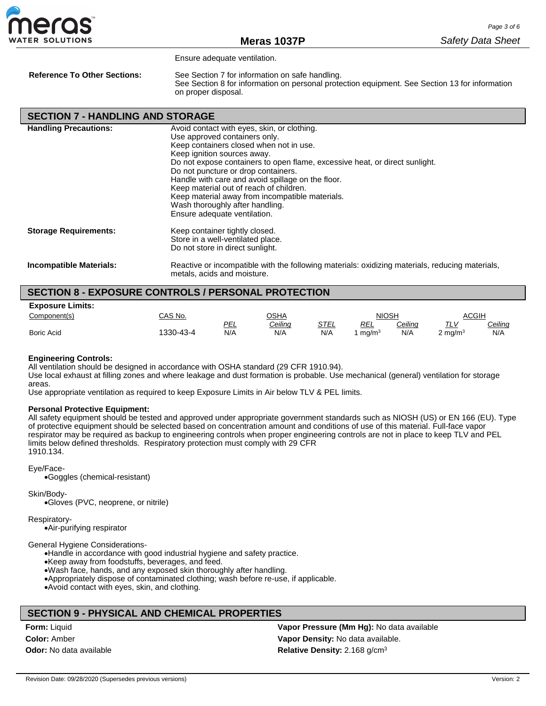

Ensure adequate ventilation.

**Reference To Other Sections:** See Section 7 for information on safe handling. See Section 8 for information on personal protection equipment. See Section 13 for information on proper disposal.

| <b>SECTION 7 - HANDLING AND STORAGE</b> |                                                                                                                                                                                                                                                                                                                                                                                                                                                                                                    |
|-----------------------------------------|----------------------------------------------------------------------------------------------------------------------------------------------------------------------------------------------------------------------------------------------------------------------------------------------------------------------------------------------------------------------------------------------------------------------------------------------------------------------------------------------------|
| <b>Handling Precautions:</b>            | Avoid contact with eyes, skin, or clothing.<br>Use approved containers only.<br>Keep containers closed when not in use.<br>Keep ignition sources away.<br>Do not expose containers to open flame, excessive heat, or direct sunlight.<br>Do not puncture or drop containers.<br>Handle with care and avoid spillage on the floor.<br>Keep material out of reach of children.<br>Keep material away from incompatible materials.<br>Wash thoroughly after handling.<br>Ensure adequate ventilation. |
| <b>Storage Requirements:</b>            | Keep container tightly closed.<br>Store in a well-ventilated place.<br>Do not store in direct sunlight.                                                                                                                                                                                                                                                                                                                                                                                            |
| <b>Incompatible Materials:</b>          | Reactive or incompatible with the following materials: oxidizing materials, reducing materials,<br>metals, acids and moisture.                                                                                                                                                                                                                                                                                                                                                                     |

### **SECTION 8 - EXPOSURE CONTROLS / PERSONAL PROTECTION**

| <b>Exposure Limits:</b> |          |     |                |      |                   |                |                    |                |
|-------------------------|----------|-----|----------------|------|-------------------|----------------|--------------------|----------------|
| Component(s)            | CAS No.  |     | <b>OSHA</b>    |      | <b>NIOSH</b>      |                | ACGIH              |                |
|                         |          | PEL | <u>Ceiling</u> | STEL | REL               | <b>Ceiling</b> | עו דד              | <u>Ceiling</u> |
| <b>Boric Acid</b>       | 330-43-4 | N/A | N/A            | N/A  | ma/m <sup>3</sup> | N/A            | $2 \text{ mg/m}^3$ | N/A            |

#### **Engineering Controls:**

All ventilation should be designed in accordance with OSHA standard (29 CFR 1910.94).

Use local exhaust at filling zones and where leakage and dust formation is probable. Use mechanical (general) ventilation for storage areas.

Use appropriate ventilation as required to keep Exposure Limits in Air below TLV & PEL limits.

#### **Personal Protective Equipment:**

All safety equipment should be tested and approved under appropriate government standards such as NIOSH (US) or EN 166 (EU). Type of protective equipment should be selected based on concentration amount and conditions of use of this material. Full-face vapor respirator may be required as backup to engineering controls when proper engineering controls are not in place to keep TLV and PEL limits below defined thresholds. Respiratory protection must comply with 29 CFR 1910.134.

Eye/Face-

•Goggles (chemical-resistant)

Skin/Body-

•Gloves (PVC, neoprene, or nitrile)

Respiratory-

•Air-purifying respirator

General Hygiene Considerations-

•Handle in accordance with good industrial hygiene and safety practice. •Keep away from foodstuffs, beverages, and feed. •Wash face, hands, and any exposed skin thoroughly after handling. •Appropriately dispose of contaminated clothing; wash before re-use, if applicable. •Avoid contact with eyes, skin, and clothing.

### **SECTION 9 - PHYSICAL AND CHEMICAL PROPERTIES**

**Form:** Liquid **Color:** Amber **Odor:** No data available **Vapor Pressure (Mm Hg):** No data available **Vapor Density:** No data available. **Relative Density:** 2.168 g/cm3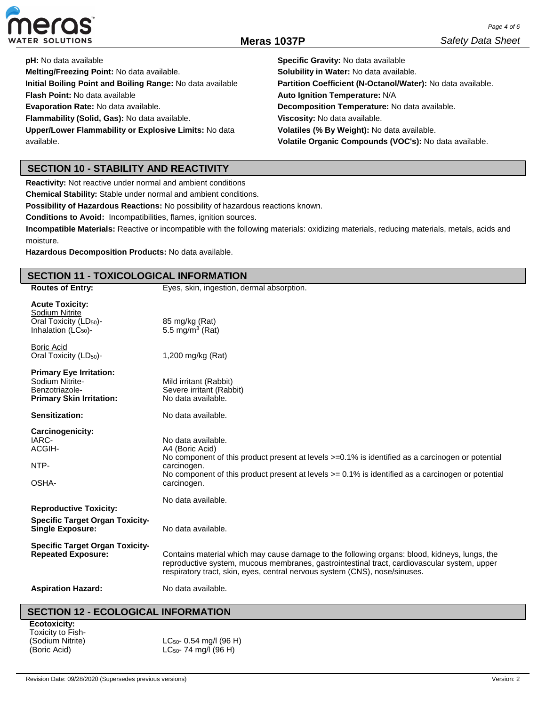

| <b>pH:</b> No data available                               | Specific Gravity: No data available                         |
|------------------------------------------------------------|-------------------------------------------------------------|
| Melting/Freezing Point: No data available.                 | Solubility in Water: No data available.                     |
| Initial Boiling Point and Boiling Range: No data available | Partition Coefficient (N-Octanol/Water): No data available. |
| <b>Flash Point: No data available</b>                      | Auto Ignition Temperature: N/A                              |
| Evaporation Rate: No data available.                       | Decomposition Temperature: No data available.               |
| Flammability (Solid, Gas): No data available.              | Viscosity: No data available.                               |
| Upper/Lower Flammability or Explosive Limits: No data      | Volatiles (% By Weight): No data available.                 |
| available.                                                 | Volatile Organic Compounds (VOC's): No data available.      |

### **SECTION 10 - STABILITY AND REACTIVITY**

**Reactivity:** Not reactive under normal and ambient conditions

**Chemical Stability:** Stable under normal and ambient conditions.

**Possibility of Hazardous Reactions:** No possibility of hazardous reactions known.

**Conditions to Avoid:** Incompatibilities, flames, ignition sources.

**Incompatible Materials:** Reactive or incompatible with the following materials: oxidizing materials, reducing materials, metals, acids and moisture.

**Hazardous Decomposition Products:** No data available.

# **SECTION 11 - TOXICOLOGICAL INFORMATION**

| <b>Routes of Entry:</b>                                                                                | ייים ווידושרוטים שטוני<br>Eyes, skin, ingestion, dermal absorption.                                                                                                                                                                                                             |
|--------------------------------------------------------------------------------------------------------|---------------------------------------------------------------------------------------------------------------------------------------------------------------------------------------------------------------------------------------------------------------------------------|
| <b>Acute Toxicity:</b>                                                                                 |                                                                                                                                                                                                                                                                                 |
| Sodium Nitrite<br>Oral Toxicity (LD <sub>50</sub> )-<br>Inhalation $(LC_{50})$ -                       | 85 mg/kg (Rat)<br>5.5 mg/m <sup>3</sup> (Rat)                                                                                                                                                                                                                                   |
| <b>Boric Acid</b><br>Oral Toxicity (LD <sub>50</sub> )-                                                | 1,200 mg/kg (Rat)                                                                                                                                                                                                                                                               |
| <b>Primary Eye Irritation:</b><br>Sodium Nitrite-<br>Benzotriazole-<br><b>Primary Skin Irritation:</b> | Mild irritant (Rabbit)<br>Severe irritant (Rabbit)<br>No data available.                                                                                                                                                                                                        |
| Sensitization:                                                                                         | No data available.                                                                                                                                                                                                                                                              |
| Carcinogenicity:<br>IARC-<br>ACGIH-<br>NTP-<br>OSHA-                                                   | No data available.<br>A4 (Boric Acid)<br>No component of this product present at levels >=0.1% is identified as a carcinogen or potential<br>carcinogen.<br>No component of this product present at levels $>= 0.1\%$ is identified as a carcinogen or potential<br>carcinogen. |
| <b>Reproductive Toxicity:</b><br><b>Specific Target Organ Toxicity-</b><br><b>Single Exposure:</b>     | No data available.<br>No data available.                                                                                                                                                                                                                                        |
| <b>Specific Target Organ Toxicity-</b><br><b>Repeated Exposure:</b>                                    | Contains material which may cause damage to the following organs: blood, kidneys, lungs, the<br>reproductive system, mucous membranes, gastrointestinal tract, cardiovascular system, upper<br>respiratory tract, skin, eyes, central nervous system (CNS), nose/sinuses.       |
| <b>Aspiration Hazard:</b>                                                                              | No data available.                                                                                                                                                                                                                                                              |

### **SECTION 12 - ECOLOGICAL INFORMATION**

**Ecotoxicity:** Toxicity to Fish- (Sodium Nitrite) (Boric Acid)

LC50- 0.54 mg/l (96 H)  $LC_{50}$ - 74 mg/l (96 H)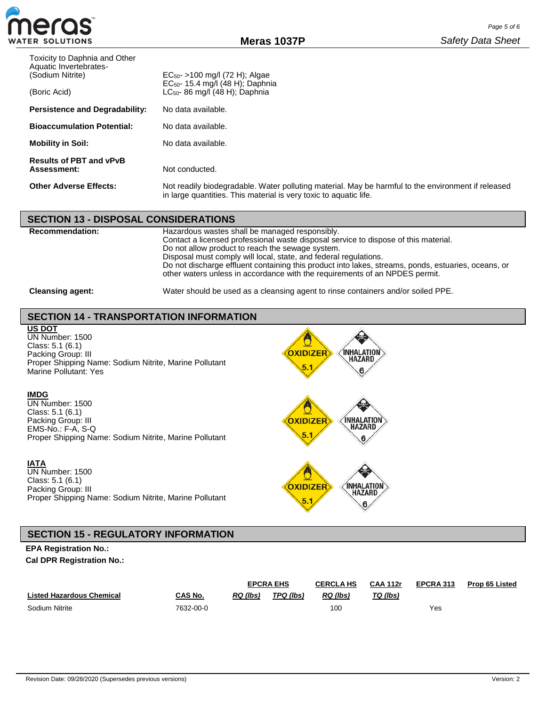

| Toxicity to Daphnia and Other<br>Aquatic Invertebrates-<br>(Sodium Nitrite) | $EC_{50}$ - >100 mg/l (72 H); Algae                                                                                                                                     |
|-----------------------------------------------------------------------------|-------------------------------------------------------------------------------------------------------------------------------------------------------------------------|
| (Boric Acid)                                                                | $EC_{50}$ - 15.4 mg/l (48 H); Daphnia<br>$LC_{50}$ - 86 mg/l (48 H); Daphnia                                                                                            |
| <b>Persistence and Degradability:</b>                                       | No data available.                                                                                                                                                      |
| <b>Bioaccumulation Potential:</b>                                           | No data available.                                                                                                                                                      |
| <b>Mobility in Soil:</b>                                                    | No data available.                                                                                                                                                      |
| <b>Results of PBT and vPvB</b><br><b>Assessment:</b>                        | Not conducted.                                                                                                                                                          |
| <b>Other Adverse Effects:</b>                                               | Not readily biodegradable. Water polluting material. May be harmful to the environment if released<br>in large quantities. This material is very toxic to aquatic life. |

| <b>SECTION 13 - DISPOSAL CONSIDERATIONS</b> |                                                                                                                                                                                                                                                                                                                                                                                                                                                     |
|---------------------------------------------|-----------------------------------------------------------------------------------------------------------------------------------------------------------------------------------------------------------------------------------------------------------------------------------------------------------------------------------------------------------------------------------------------------------------------------------------------------|
| <b>Recommendation:</b>                      | Hazardous wastes shall be managed responsibly.<br>Contact a licensed professional waste disposal service to dispose of this material.<br>Do not allow product to reach the sewage system.<br>Disposal must comply will local, state, and federal regulations.<br>Do not discharge effluent containing this product into lakes, streams, ponds, estuaries, oceans, or<br>other waters unless in accordance with the requirements of an NPDES permit. |
| <b>Cleansing agent:</b>                     | Water should be used as a cleansing agent to rinse containers and/or soiled PPE.                                                                                                                                                                                                                                                                                                                                                                    |

# **SECTION 14 - TRANSPORTATION INFORMATION**

### **US DOT**

UN Number: 1500 Class: 5.1 (6.1) Packing Group: III Proper Shipping Name: Sodium Nitrite, Marine Pollutant Marine Pollutant: Yes

#### **IMDG**

UN Number: 1500 Class: 5.1 (6.1) Packing Group: III EMS-No.: F-A, S-Q Proper Shipping Name: Sodium Nitrite, Marine Pollutant

### **IATA**

UN Number: 1500 Class: 5.1 (6.1) Packing Group: III Proper Shipping Name: Sodium Nitrite, Marine Pollutant



5.

♤

6



# **EPA Registration No.:**

**Cal DPR Registration No.:**

|                                  |           | <b>EPCRA EHS</b> |           | <b>CERCLA HS</b> | <b>CAA 112r</b> | EPCRA 313 | <b>Prop 65 Listed</b> |
|----------------------------------|-----------|------------------|-----------|------------------|-----------------|-----------|-----------------------|
| <b>Listed Hazardous Chemical</b> | CAS No.   | <b>RQ</b> (lbs)  | TPQ (lbs) | RQ (lbs)         | TQ (lbs)        |           |                       |
| Sodium Nitrite                   | 7632-00-0 |                  |           | 100              |                 | Yes       |                       |